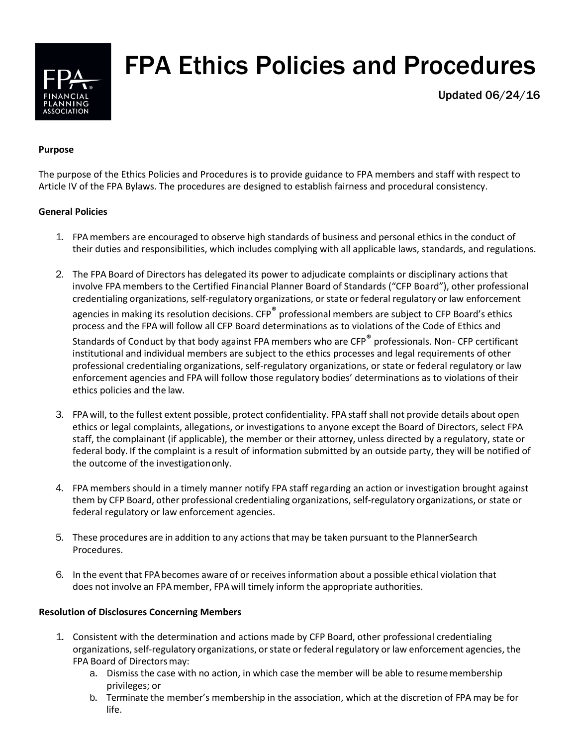

# FPA Ethics Policies and Procedures

Updated 06/24/16

#### **Purpose**

The purpose of the Ethics Policies and Procedures is to provide guidance to FPA members and staff with respect to Article IV of the FPA Bylaws. The procedures are designed to establish fairness and procedural consistency.

## **General Policies**

- 1. FPAmembers are encouraged to observe high standards of business and personal ethics in the conduct of their duties and responsibilities, which includes complying with all applicable laws, standards, and regulations.
- 2. The FPA Board of Directors has delegated its power to adjudicate complaints or disciplinary actions that involve FPA members to the Certified Financial Planner Board of Standards ("CFP Board"), other professional credentialing organizations, self-regulatory organizations, orstate or federal regulatory or law enforcement agencies in making its resolution decisions. CFP<sup>®</sup> professional members are subject to CFP Board's ethics process and the FPA will follow all CFP Board determinations as to violations of the Code of Ethics and

Standards of Conduct by that body against FPA members who are CFP<sup>®</sup> professionals. Non- CFP certificant institutional and individual members are subject to the ethics processes and legal requirements of other professional credentialing organizations, self-regulatory organizations, or state or federal regulatory or law enforcement agencies and FPA will follow those regulatory bodies' determinations as to violations of their ethics policies and the law.

- 3. FPA will, to the fullest extent possible, protect confidentiality. FPA staff shall not provide details about open ethics or legal complaints, allegations, or investigations to anyone except the Board of Directors, select FPA staff, the complainant (if applicable), the member or their attorney, unless directed by a regulatory, state or federal body. If the complaint is a result of information submitted by an outside party, they will be notified of the outcome of the investigationonly.
- 4. FPA members should in a timely manner notify FPA staff regarding an action or investigation brought against them by CFP Board, other professional credentialing organizations, self-regulatory organizations, or state or federal regulatory or law enforcement agencies.
- 5. These procedures are in addition to any actionsthat may be taken pursuant to the PlannerSearch Procedures.
- 6. In the event that FPAbecomes aware of or receives information about a possible ethical violation that does not involve an FPAmember, FPAwill timely inform the appropriate authorities.

#### **Resolution of Disclosures Concerning Members**

- 1. Consistent with the determination and actions made by CFP Board, other professional credentialing organizations, self-regulatory organizations, or state or federal regulatory or law enforcement agencies, the FPA Board of Directorsmay:
	- a. Dismiss the case with no action, in which case the member will be able to resumemembership privileges; or
	- b. Terminate the member's membership in the association, which at the discretion of FPA may be for life.